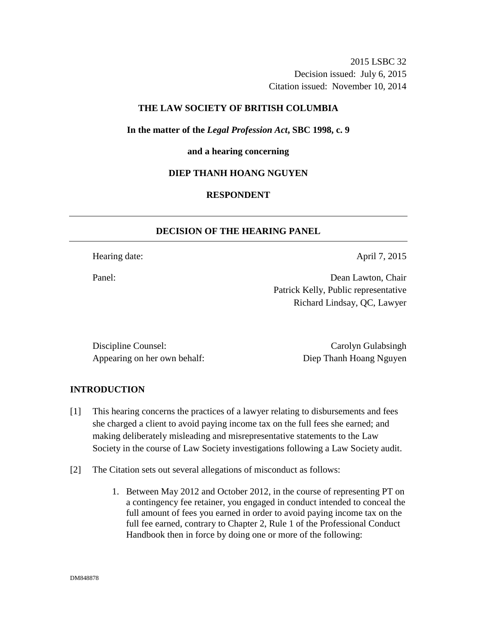2015 LSBC 32 Decision issued: July 6, 2015 Citation issued: November 10, 2014

## **THE LAW SOCIETY OF BRITISH COLUMBIA**

**In the matter of the** *Legal Profession Act***, SBC 1998, c. 9** 

#### **and a hearing concerning**

### **DIEP THANH HOANG NGUYEN**

# **RESPONDENT**

## **DECISION OF THE HEARING PANEL**

Hearing date: April 7, 2015

Panel: Dean Lawton, Chair Patrick Kelly, Public representative Richard Lindsay, QC, Lawyer

Discipline Counsel: Carolyn Gulabsingh Appearing on her own behalf: Diep Thanh Hoang Nguyen

#### **INTRODUCTION**

- [1] This hearing concerns the practices of a lawyer relating to disbursements and fees she charged a client to avoid paying income tax on the full fees she earned; and making deliberately misleading and misrepresentative statements to the Law Society in the course of Law Society investigations following a Law Society audit.
- [2] The Citation sets out several allegations of misconduct as follows:
	- 1. Between May 2012 and October 2012, in the course of representing PT on a contingency fee retainer, you engaged in conduct intended to conceal the full amount of fees you earned in order to avoid paying income tax on the full fee earned, contrary to Chapter 2, Rule 1 of the Professional Conduct Handbook then in force by doing one or more of the following: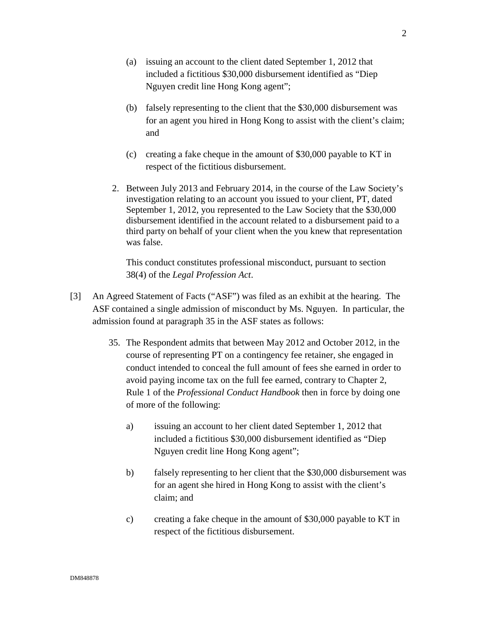- (a) issuing an account to the client dated September 1, 2012 that included a fictitious \$30,000 disbursement identified as "Diep Nguyen credit line Hong Kong agent";
- (b) falsely representing to the client that the \$30,000 disbursement was for an agent you hired in Hong Kong to assist with the client's claim; and
- (c) creating a fake cheque in the amount of \$30,000 payable to KT in respect of the fictitious disbursement.
- 2. Between July 2013 and February 2014, in the course of the Law Society's investigation relating to an account you issued to your client, PT, dated September 1, 2012, you represented to the Law Society that the \$30,000 disbursement identified in the account related to a disbursement paid to a third party on behalf of your client when the you knew that representation was false.

This conduct constitutes professional misconduct, pursuant to section 38(4) of the *Legal Profession Act*.

- [3] An Agreed Statement of Facts ("ASF") was filed as an exhibit at the hearing. The ASF contained a single admission of misconduct by Ms. Nguyen. In particular, the admission found at paragraph 35 in the ASF states as follows:
	- 35. The Respondent admits that between May 2012 and October 2012, in the course of representing PT on a contingency fee retainer, she engaged in conduct intended to conceal the full amount of fees she earned in order to avoid paying income tax on the full fee earned, contrary to Chapter 2, Rule 1 of the *Professional Conduct Handbook* then in force by doing one of more of the following:
		- a) issuing an account to her client dated September 1, 2012 that included a fictitious \$30,000 disbursement identified as "Diep Nguyen credit line Hong Kong agent";
		- b) falsely representing to her client that the \$30,000 disbursement was for an agent she hired in Hong Kong to assist with the client's claim; and
		- c) creating a fake cheque in the amount of \$30,000 payable to KT in respect of the fictitious disbursement.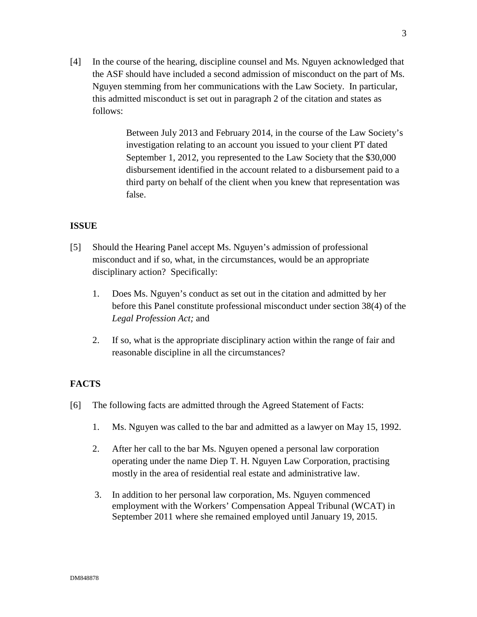[4] In the course of the hearing, discipline counsel and Ms. Nguyen acknowledged that the ASF should have included a second admission of misconduct on the part of Ms. Nguyen stemming from her communications with the Law Society. In particular, this admitted misconduct is set out in paragraph 2 of the citation and states as follows:

> Between July 2013 and February 2014, in the course of the Law Society's investigation relating to an account you issued to your client PT dated September 1, 2012, you represented to the Law Society that the \$30,000 disbursement identified in the account related to a disbursement paid to a third party on behalf of the client when you knew that representation was false.

## **ISSUE**

- [5] Should the Hearing Panel accept Ms. Nguyen's admission of professional misconduct and if so, what, in the circumstances, would be an appropriate disciplinary action? Specifically:
	- 1. Does Ms. Nguyen's conduct as set out in the citation and admitted by her before this Panel constitute professional misconduct under section 38(4) of the *Legal Profession Act;* and
	- 2. If so, what is the appropriate disciplinary action within the range of fair and reasonable discipline in all the circumstances?

## **FACTS**

- [6] The following facts are admitted through the Agreed Statement of Facts:
	- 1. Ms. Nguyen was called to the bar and admitted as a lawyer on May 15, 1992.
	- 2. After her call to the bar Ms. Nguyen opened a personal law corporation operating under the name Diep T. H. Nguyen Law Corporation, practising mostly in the area of residential real estate and administrative law.
	- 3. In addition to her personal law corporation, Ms. Nguyen commenced employment with the Workers' Compensation Appeal Tribunal (WCAT) in September 2011 where she remained employed until January 19, 2015.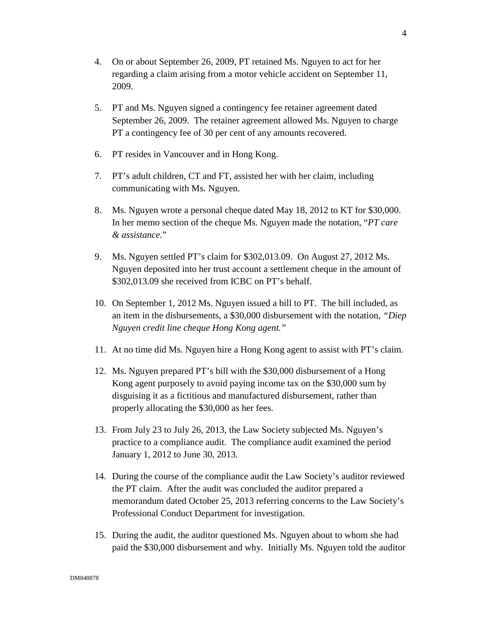- 4. On or about September 26, 2009, PT retained Ms. Nguyen to act for her regarding a claim arising from a motor vehicle accident on September 11, 2009.
- 5. PT and Ms. Nguyen signed a contingency fee retainer agreement dated September 26, 2009. The retainer agreement allowed Ms. Nguyen to charge PT a contingency fee of 30 per cent of any amounts recovered.
- 6. PT resides in Vancouver and in Hong Kong.
- 7. PT's adult children, CT and FT, assisted her with her claim, including communicating with Ms. Nguyen.
- 8. Ms. Nguyen wrote a personal cheque dated May 18, 2012 to KT for \$30,000. In her memo section of the cheque Ms. Nguyen made the notation, "*PT care & assistance.*"
- 9. Ms. Nguyen settled PT's claim for \$302,013.09. On August 27, 2012 Ms. Nguyen deposited into her trust account a settlement cheque in the amount of \$302,013.09 she received from ICBC on PT's behalf.
- 10. On September 1, 2012 Ms. Nguyen issued a bill to PT. The bill included, as an item in the disbursements, a \$30,000 disbursement with the notation, *"Diep Nguyen credit line cheque Hong Kong agent."*
- 11. At no time did Ms. Nguyen hire a Hong Kong agent to assist with PT's claim.
- 12. Ms. Nguyen prepared PT's bill with the \$30,000 disbursement of a Hong Kong agent purposely to avoid paying income tax on the \$30,000 sum by disguising it as a fictitious and manufactured disbursement, rather than properly allocating the \$30,000 as her fees.
- 13. From July 23 to July 26, 2013, the Law Society subjected Ms. Nguyen's practice to a compliance audit. The compliance audit examined the period January 1, 2012 to June 30, 2013.
- 14. During the course of the compliance audit the Law Society's auditor reviewed the PT claim. After the audit was concluded the auditor prepared a memorandum dated October 25, 2013 referring concerns to the Law Society's Professional Conduct Department for investigation.
- 15. During the audit, the auditor questioned Ms. Nguyen about to whom she had paid the \$30,000 disbursement and why. Initially Ms. Nguyen told the auditor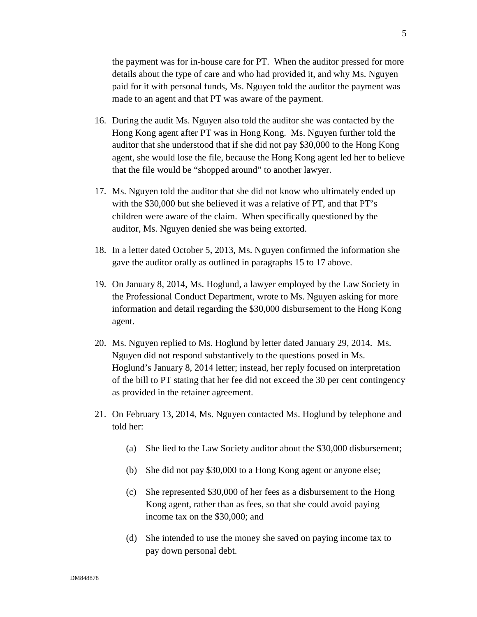the payment was for in-house care for PT. When the auditor pressed for more details about the type of care and who had provided it, and why Ms. Nguyen paid for it with personal funds, Ms. Nguyen told the auditor the payment was made to an agent and that PT was aware of the payment.

- 16. During the audit Ms. Nguyen also told the auditor she was contacted by the Hong Kong agent after PT was in Hong Kong. Ms. Nguyen further told the auditor that she understood that if she did not pay \$30,000 to the Hong Kong agent, she would lose the file, because the Hong Kong agent led her to believe that the file would be "shopped around" to another lawyer.
- 17. Ms. Nguyen told the auditor that she did not know who ultimately ended up with the \$30,000 but she believed it was a relative of PT, and that PT's children were aware of the claim. When specifically questioned by the auditor, Ms. Nguyen denied she was being extorted.
- 18. In a letter dated October 5, 2013, Ms. Nguyen confirmed the information she gave the auditor orally as outlined in paragraphs 15 to 17 above.
- 19. On January 8, 2014, Ms. Hoglund, a lawyer employed by the Law Society in the Professional Conduct Department, wrote to Ms. Nguyen asking for more information and detail regarding the \$30,000 disbursement to the Hong Kong agent.
- 20. Ms. Nguyen replied to Ms. Hoglund by letter dated January 29, 2014. Ms. Nguyen did not respond substantively to the questions posed in Ms. Hoglund's January 8, 2014 letter; instead, her reply focused on interpretation of the bill to PT stating that her fee did not exceed the 30 per cent contingency as provided in the retainer agreement.
- 21. On February 13, 2014, Ms. Nguyen contacted Ms. Hoglund by telephone and told her:
	- (a) She lied to the Law Society auditor about the \$30,000 disbursement;
	- (b) She did not pay \$30,000 to a Hong Kong agent or anyone else;
	- (c) She represented \$30,000 of her fees as a disbursement to the Hong Kong agent, rather than as fees, so that she could avoid paying income tax on the \$30,000; and
	- (d) She intended to use the money she saved on paying income tax to pay down personal debt.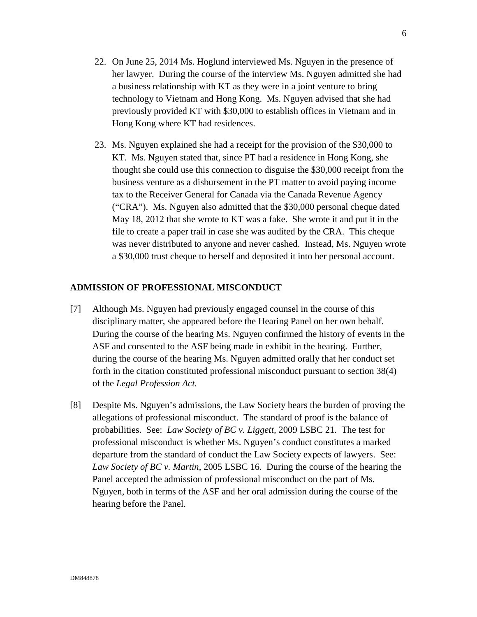- 22. On June 25, 2014 Ms. Hoglund interviewed Ms. Nguyen in the presence of her lawyer. During the course of the interview Ms. Nguyen admitted she had a business relationship with KT as they were in a joint venture to bring technology to Vietnam and Hong Kong. Ms. Nguyen advised that she had previously provided KT with \$30,000 to establish offices in Vietnam and in Hong Kong where KT had residences.
- 23. Ms. Nguyen explained she had a receipt for the provision of the \$30,000 to KT. Ms. Nguyen stated that, since PT had a residence in Hong Kong, she thought she could use this connection to disguise the \$30,000 receipt from the business venture as a disbursement in the PT matter to avoid paying income tax to the Receiver General for Canada via the Canada Revenue Agency ("CRA"). Ms. Nguyen also admitted that the \$30,000 personal cheque dated May 18, 2012 that she wrote to KT was a fake. She wrote it and put it in the file to create a paper trail in case she was audited by the CRA. This cheque was never distributed to anyone and never cashed. Instead, Ms. Nguyen wrote a \$30,000 trust cheque to herself and deposited it into her personal account.

## **ADMISSION OF PROFESSIONAL MISCONDUCT**

- [7] Although Ms. Nguyen had previously engaged counsel in the course of this disciplinary matter, she appeared before the Hearing Panel on her own behalf. During the course of the hearing Ms. Nguyen confirmed the history of events in the ASF and consented to the ASF being made in exhibit in the hearing. Further, during the course of the hearing Ms. Nguyen admitted orally that her conduct set forth in the citation constituted professional misconduct pursuant to section 38(4) of the *Legal Profession Act.*
- [8] Despite Ms. Nguyen's admissions, the Law Society bears the burden of proving the allegations of professional misconduct. The standard of proof is the balance of probabilities. See: *Law Society of BC v. Liggett,* 2009 LSBC 21. The test for professional misconduct is whether Ms. Nguyen's conduct constitutes a marked departure from the standard of conduct the Law Society expects of lawyers. See: *Law Society of BC v. Martin*, 2005 LSBC 16. During the course of the hearing the Panel accepted the admission of professional misconduct on the part of Ms. Nguyen, both in terms of the ASF and her oral admission during the course of the hearing before the Panel.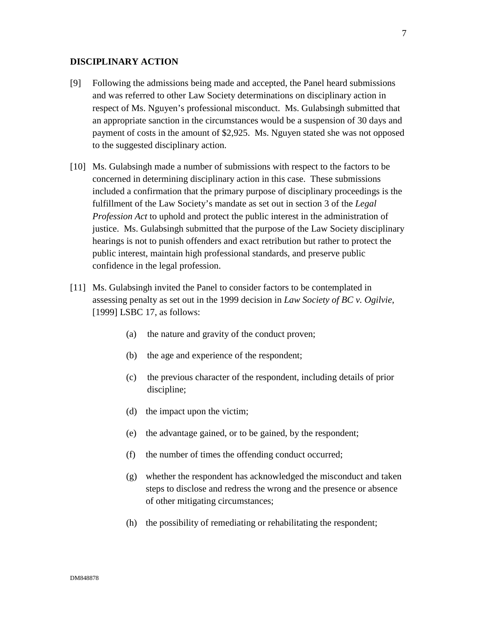#### **DISCIPLINARY ACTION**

- [9] Following the admissions being made and accepted, the Panel heard submissions and was referred to other Law Society determinations on disciplinary action in respect of Ms. Nguyen's professional misconduct. Ms. Gulabsingh submitted that an appropriate sanction in the circumstances would be a suspension of 30 days and payment of costs in the amount of \$2,925. Ms. Nguyen stated she was not opposed to the suggested disciplinary action.
- [10] Ms. Gulabsingh made a number of submissions with respect to the factors to be concerned in determining disciplinary action in this case. These submissions included a confirmation that the primary purpose of disciplinary proceedings is the fulfillment of the Law Society's mandate as set out in section 3 of the *Legal Profession Act* to uphold and protect the public interest in the administration of justice. Ms. Gulabsingh submitted that the purpose of the Law Society disciplinary hearings is not to punish offenders and exact retribution but rather to protect the public interest, maintain high professional standards, and preserve public confidence in the legal profession.
- [11] Ms. Gulabsingh invited the Panel to consider factors to be contemplated in assessing penalty as set out in the 1999 decision in *Law Society of BC v. Ogilvie*, [1999] LSBC 17, as follows:
	- (a) the nature and gravity of the conduct proven;
	- (b) the age and experience of the respondent;
	- (c) the previous character of the respondent, including details of prior discipline;
	- (d) the impact upon the victim;
	- (e) the advantage gained, or to be gained, by the respondent;
	- (f) the number of times the offending conduct occurred;
	- (g) whether the respondent has acknowledged the misconduct and taken steps to disclose and redress the wrong and the presence or absence of other mitigating circumstances;
	- (h) the possibility of remediating or rehabilitating the respondent;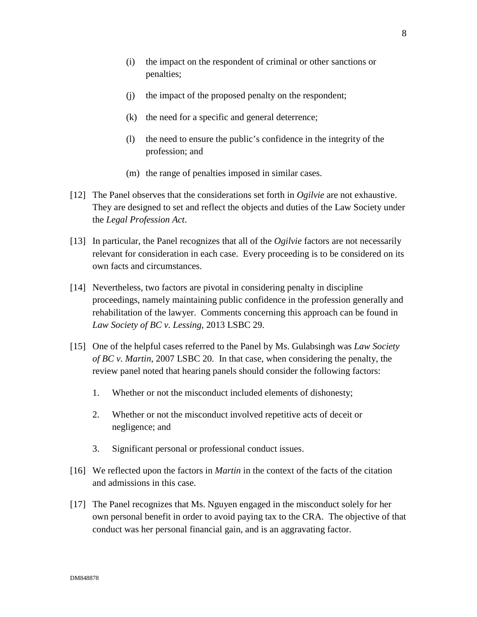- (j) the impact of the proposed penalty on the respondent;
- (k) the need for a specific and general deterrence;
- (l) the need to ensure the public's confidence in the integrity of the profession; and
- (m) the range of penalties imposed in similar cases.
- [12] The Panel observes that the considerations set forth in *Ogilvie* are not exhaustive. They are designed to set and reflect the objects and duties of the Law Society under the *Legal Profession Act*.
- [13] In particular, the Panel recognizes that all of the *Ogilvie* factors are not necessarily relevant for consideration in each case. Every proceeding is to be considered on its own facts and circumstances.
- [14] Nevertheless, two factors are pivotal in considering penalty in discipline proceedings, namely maintaining public confidence in the profession generally and rehabilitation of the lawyer. Comments concerning this approach can be found in *Law Society of BC v. Lessing*, 2013 LSBC 29.
- [15] One of the helpful cases referred to the Panel by Ms. Gulabsingh was *Law Society of BC v. Martin,* 2007 LSBC 20. In that case, when considering the penalty, the review panel noted that hearing panels should consider the following factors:
	- 1. Whether or not the misconduct included elements of dishonesty;
	- 2. Whether or not the misconduct involved repetitive acts of deceit or negligence; and
	- 3. Significant personal or professional conduct issues.
- [16] We reflected upon the factors in *Martin* in the context of the facts of the citation and admissions in this case.
- [17] The Panel recognizes that Ms. Nguyen engaged in the misconduct solely for her own personal benefit in order to avoid paying tax to the CRA. The objective of that conduct was her personal financial gain, and is an aggravating factor.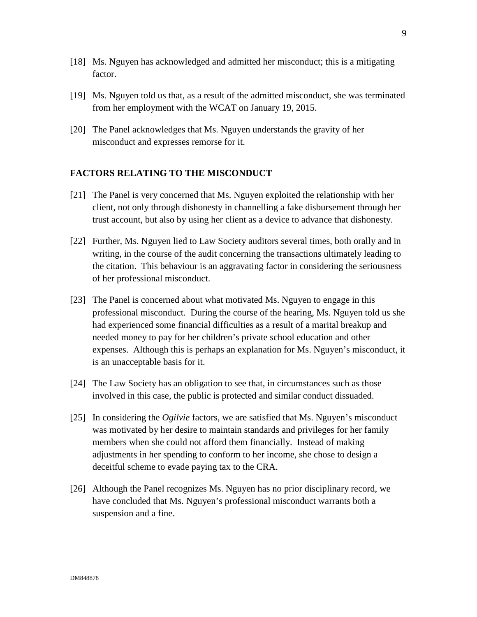- [18] Ms. Nguyen has acknowledged and admitted her misconduct; this is a mitigating factor.
- [19] Ms. Nguyen told us that, as a result of the admitted misconduct, she was terminated from her employment with the WCAT on January 19, 2015.
- [20] The Panel acknowledges that Ms. Nguyen understands the gravity of her misconduct and expresses remorse for it.

## **FACTORS RELATING TO THE MISCONDUCT**

- [21] The Panel is very concerned that Ms. Nguyen exploited the relationship with her client, not only through dishonesty in channelling a fake disbursement through her trust account, but also by using her client as a device to advance that dishonesty.
- [22] Further, Ms. Nguyen lied to Law Society auditors several times, both orally and in writing, in the course of the audit concerning the transactions ultimately leading to the citation. This behaviour is an aggravating factor in considering the seriousness of her professional misconduct.
- [23] The Panel is concerned about what motivated Ms. Nguyen to engage in this professional misconduct. During the course of the hearing, Ms. Nguyen told us she had experienced some financial difficulties as a result of a marital breakup and needed money to pay for her children's private school education and other expenses. Although this is perhaps an explanation for Ms. Nguyen's misconduct, it is an unacceptable basis for it.
- [24] The Law Society has an obligation to see that, in circumstances such as those involved in this case, the public is protected and similar conduct dissuaded.
- [25] In considering the *Ogilvie* factors, we are satisfied that Ms. Nguyen's misconduct was motivated by her desire to maintain standards and privileges for her family members when she could not afford them financially. Instead of making adjustments in her spending to conform to her income, she chose to design a deceitful scheme to evade paying tax to the CRA.
- [26] Although the Panel recognizes Ms. Nguyen has no prior disciplinary record, we have concluded that Ms. Nguyen's professional misconduct warrants both a suspension and a fine.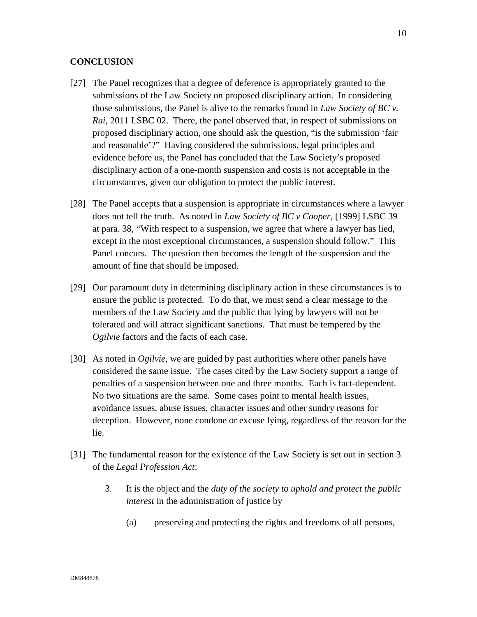## **CONCLUSION**

- [27] The Panel recognizes that a degree of deference is appropriately granted to the submissions of the Law Society on proposed disciplinary action. In considering those submissions, the Panel is alive to the remarks found in *Law Society of BC v. Rai*, 2011 LSBC 02. There, the panel observed that, in respect of submissions on proposed disciplinary action, one should ask the question, "is the submission 'fair and reasonable'?" Having considered the submissions, legal principles and evidence before us, the Panel has concluded that the Law Society's proposed disciplinary action of a one-month suspension and costs is not acceptable in the circumstances, given our obligation to protect the public interest.
- [28] The Panel accepts that a suspension is appropriate in circumstances where a lawyer does not tell the truth. As noted in *Law Society of BC v Cooper*, [1999] LSBC 39 at para. 38, "With respect to a suspension, we agree that where a lawyer has lied, except in the most exceptional circumstances, a suspension should follow." This Panel concurs. The question then becomes the length of the suspension and the amount of fine that should be imposed.
- [29] Our paramount duty in determining disciplinary action in these circumstances is to ensure the public is protected. To do that, we must send a clear message to the members of the Law Society and the public that lying by lawyers will not be tolerated and will attract significant sanctions. That must be tempered by the *Ogilvie* factors and the facts of each case.
- [30] As noted in *Ogilvie*, we are guided by past authorities where other panels have considered the same issue. The cases cited by the Law Society support a range of penalties of a suspension between one and three months. Each is fact-dependent. No two situations are the same. Some cases point to mental health issues, avoidance issues, abuse issues, character issues and other sundry reasons for deception. However, none condone or excuse lying, regardless of the reason for the lie.
- [31] The fundamental reason for the existence of the Law Society is set out in section 3 of the *Legal Profession Act*:
	- 3. It is the object and the *duty of the society to uphold and protect the public interest* in the administration of justice by
		- (a) preserving and protecting the rights and freedoms of all persons,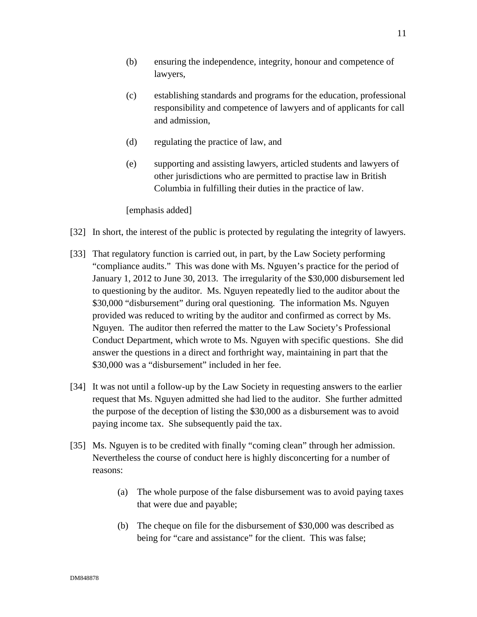- (b) ensuring the independence, integrity*,* honour and competence of lawyers,
- (c) establishing standards and programs for the education, professional responsibility and competence of lawyers and of applicants for call and admission,
- (d) regulating the practice of law, and
- (e) supporting and assisting lawyers, articled students and lawyers of other jurisdictions who are permitted to practise law in British Columbia in fulfilling their duties in the practice of law.

[emphasis added]

- [32] In short, the interest of the public is protected by regulating the integrity of lawyers.
- [33] That regulatory function is carried out, in part, by the Law Society performing "compliance audits." This was done with Ms. Nguyen's practice for the period of January 1, 2012 to June 30, 2013. The irregularity of the \$30,000 disbursement led to questioning by the auditor. Ms. Nguyen repeatedly lied to the auditor about the \$30,000 "disbursement" during oral questioning. The information Ms. Nguyen provided was reduced to writing by the auditor and confirmed as correct by Ms. Nguyen. The auditor then referred the matter to the Law Society's Professional Conduct Department, which wrote to Ms. Nguyen with specific questions. She did answer the questions in a direct and forthright way, maintaining in part that the \$30,000 was a "disbursement" included in her fee.
- [34] It was not until a follow-up by the Law Society in requesting answers to the earlier request that Ms. Nguyen admitted she had lied to the auditor. She further admitted the purpose of the deception of listing the \$30,000 as a disbursement was to avoid paying income tax. She subsequently paid the tax.
- [35] Ms. Nguyen is to be credited with finally "coming clean" through her admission. Nevertheless the course of conduct here is highly disconcerting for a number of reasons:
	- (a) The whole purpose of the false disbursement was to avoid paying taxes that were due and payable;
	- (b) The cheque on file for the disbursement of \$30,000 was described as being for "care and assistance" for the client. This was false;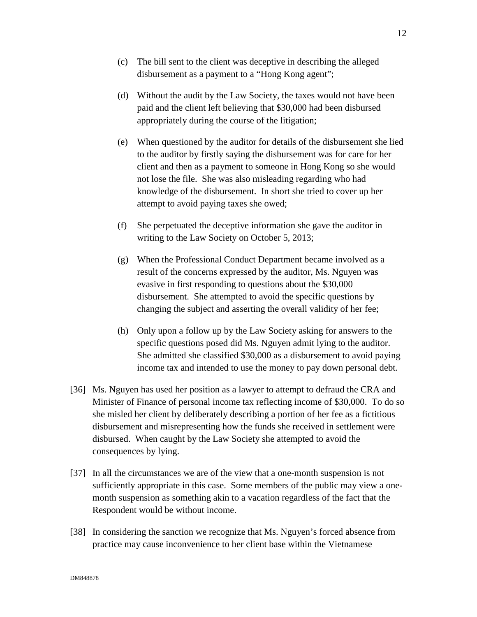- (c) The bill sent to the client was deceptive in describing the alleged disbursement as a payment to a "Hong Kong agent";
- (d) Without the audit by the Law Society, the taxes would not have been paid and the client left believing that \$30,000 had been disbursed appropriately during the course of the litigation;
- (e) When questioned by the auditor for details of the disbursement she lied to the auditor by firstly saying the disbursement was for care for her client and then as a payment to someone in Hong Kong so she would not lose the file. She was also misleading regarding who had knowledge of the disbursement. In short she tried to cover up her attempt to avoid paying taxes she owed;
- (f) She perpetuated the deceptive information she gave the auditor in writing to the Law Society on October 5, 2013;
- (g) When the Professional Conduct Department became involved as a result of the concerns expressed by the auditor, Ms. Nguyen was evasive in first responding to questions about the \$30,000 disbursement. She attempted to avoid the specific questions by changing the subject and asserting the overall validity of her fee;
- (h) Only upon a follow up by the Law Society asking for answers to the specific questions posed did Ms. Nguyen admit lying to the auditor. She admitted she classified \$30,000 as a disbursement to avoid paying income tax and intended to use the money to pay down personal debt.
- [36] Ms. Nguyen has used her position as a lawyer to attempt to defraud the CRA and Minister of Finance of personal income tax reflecting income of \$30,000. To do so she misled her client by deliberately describing a portion of her fee as a fictitious disbursement and misrepresenting how the funds she received in settlement were disbursed. When caught by the Law Society she attempted to avoid the consequences by lying.
- [37] In all the circumstances we are of the view that a one-month suspension is not sufficiently appropriate in this case. Some members of the public may view a onemonth suspension as something akin to a vacation regardless of the fact that the Respondent would be without income.
- [38] In considering the sanction we recognize that Ms. Nguyen's forced absence from practice may cause inconvenience to her client base within the Vietnamese